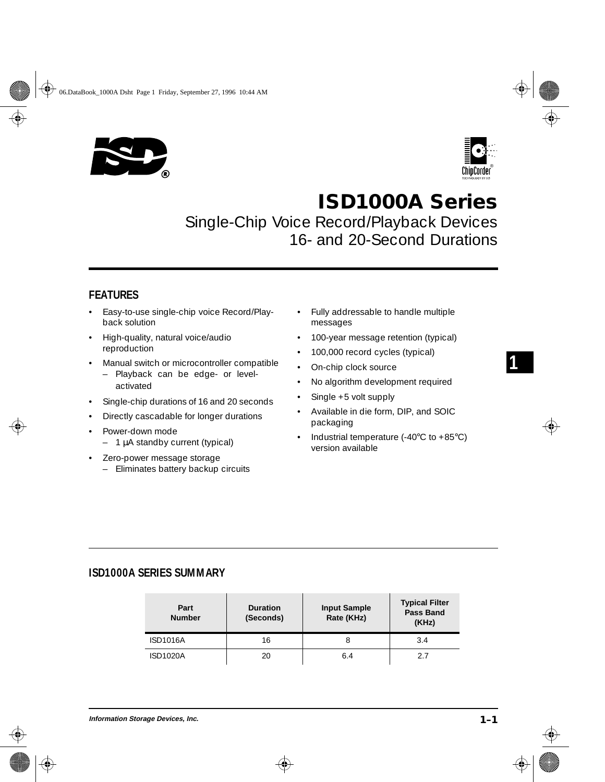



**1**

# **ISD1000A Series**

Single-Chip Voice Record/Playback Devices 16- and 20-Second Durations

# **FEATURES**

- Easy-to-use single-chip voice Record/Playback solution
- High-quality, natural voice/audio reproduction
- Manual switch or microcontroller compatible
	- Playback can be edge- or levelactivated
- Single-chip durations of 16 and 20 seconds
- Directly cascadable for longer durations
- Power-down mode
	- 1 µA standby current (typical)
- Zero-power message storage
	- Eliminates battery backup circuits
- Fully addressable to handle multiple messages
- 100-year message retention (typical)
- 100,000 record cycles (typical)
- On-chip clock source
- No algorithm development required
- Single +5 volt supply
- Available in die form, DIP, and SOIC packaging
- Industrial temperature (-40°C to +85°C) version available

### **ISD1000A SERIES SUMMARY**

| Part<br><b>Number</b> | <b>Duration</b><br>(Seconds) | <b>Input Sample</b><br>Rate (KHz) | <b>Typical Filter</b><br><b>Pass Band</b><br>(KHz) |
|-----------------------|------------------------------|-----------------------------------|----------------------------------------------------|
| <b>ISD1016A</b>       | 16                           |                                   | 3.4                                                |
| <b>ISD1020A</b>       | 20                           | 6.4                               | 27                                                 |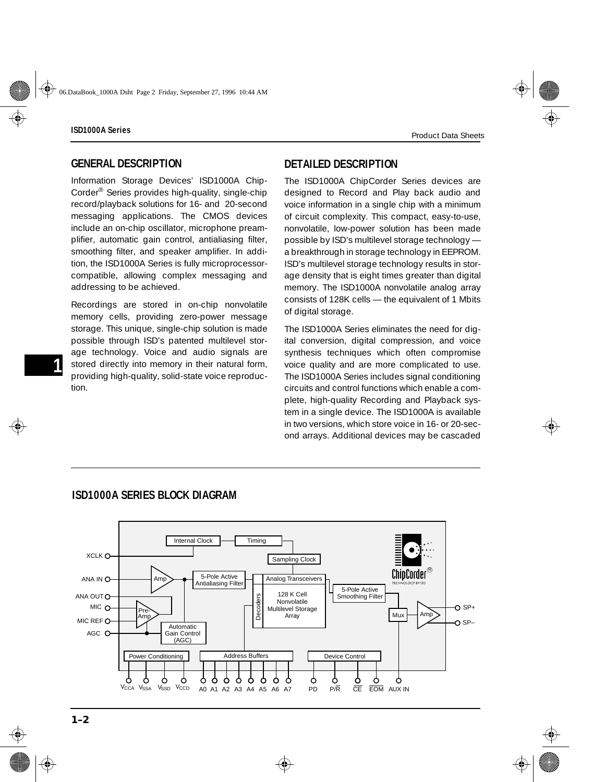**-1**

### **GENERAL DESCRIPTION**

Information Storage Devices' ISD1000A Chip-Corder® Series provides high-quality, single-chip record/playback solutions for 16- and 20-second messaging applications. The CMOS devices include an on-chip oscillator, microphone preamplifier, automatic gain control, antialiasing filter, smoothing filter, and speaker amplifier. In addition, the ISD1000A Series is fully microprocessorcompatible, allowing complex messaging and addressing to be achieved.

Recordings are stored in on-chip nonvolatile memory cells, providing zero-power message storage. This unique, single-chip solution is made possible through ISD's patented multilevel storage technology. Voice and audio signals are stored directly into memory in their natural form, providing high-quality, solid-state voice reproduction.

# **DETAILED DESCRIPTION**

The ISD1000A ChipCorder Series devices are designed to Record and Play back audio and voice information in a single chip with a minimum of circuit complexity. This compact, easy-to-use, nonvolatile, low-power solution has been made possible by ISD's multilevel storage technology a breakthrough in storage technology in EEPROM. ISD's multilevel storage technology results in storage density that is eight times greater than digital memory. The ISD1000A nonvolatile analog array consists of 128K cells — the equivalent of 1 Mbits of digital storage.

The ISD1000A Series eliminates the need for digital conversion, digital compression, and voice synthesis techniques which often compromise voice quality and are more complicated to use. The ISD1000A Series includes signal conditioning circuits and control functions which enable a complete, high-quality Recording and Playback system in a single device. The ISD1000A is available in two versions, which store voice in 16- or 20-second arrays. Additional devices may be cascaded



# **ISD1000A SERIES BLOCK DIAGRAM**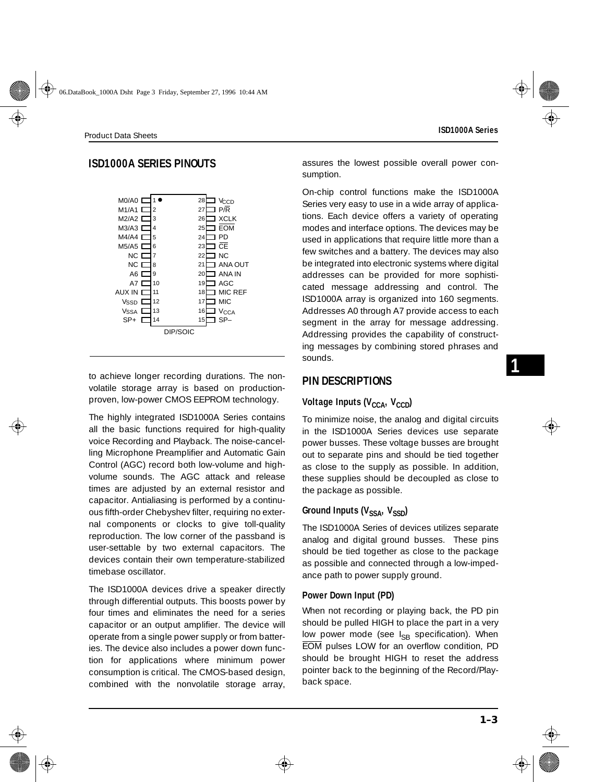# **ISD1000A SERIES PINOUTS**



to achieve longer recording durations. The nonvolatile storage array is based on productionproven, low-power CMOS EEPROM technology.

The highly integrated ISD1000A Series contains all the basic functions required for high-quality voice Recording and Playback. The noise-cancelling Microphone Preamplifier and Automatic Gain Control (AGC) record both low-volume and highvolume sounds. The AGC attack and release times are adjusted by an external resistor and capacitor. Antialiasing is performed by a continuous fifth-order Chebyshev filter, requiring no external components or clocks to give toll-quality reproduction. The low corner of the passband is user-settable by two external capacitors. The devices contain their own temperature-stabilized timebase oscillator.

The ISD1000A devices drive a speaker directly through differential outputs. This boosts power by four times and eliminates the need for a series capacitor or an output amplifier. The device will operate from a single power supply or from batteries. The device also includes a power down function for applications where minimum power consumption is critical. The CMOS-based design, combined with the nonvolatile storage array, assures the lowest possible overall power consumption.

On-chip control functions make the ISD1000A Series very easy to use in a wide array of applications. Each device offers a variety of operating modes and interface options. The devices may be used in applications that require little more than a few switches and a battery. The devices may also be integrated into electronic systems where digital addresses can be provided for more sophisticated message addressing and control. The ISD1000A array is organized into 160 segments. Addresses A0 through A7 provide access to each segment in the array for message addressing. Addressing provides the capability of constructing messages by combining stored phrases and sounds.

### **PIN DESCRIPTIONS**

### **Voltage Inputs (V<sub>CCA</sub>, V<sub>CCD</sub>)**

To minimize noise, the analog and digital circuits in the ISD1000A Series devices use separate power busses. These voltage busses are brought out to separate pins and should be tied together as close to the supply as possible. In addition, these supplies should be decoupled as close to the package as possible.

### Ground Inputs (V<sub>SSA</sub>, V<sub>SSD</sub>)

The ISD1000A Series of devices utilizes separate analog and digital ground busses. These pins should be tied together as close to the package as possible and connected through a low-impedance path to power supply ground.

#### **Power Down Input (PD)**

When not recording or playing back, the PD pin should be pulled HIGH to place the part in a very low power mode (see  $I_{SB}$  specification). When EOM pulses LOW for an overflow condition, PD should be brought HIGH to reset the address pointer back to the beginning of the Record/Playback space.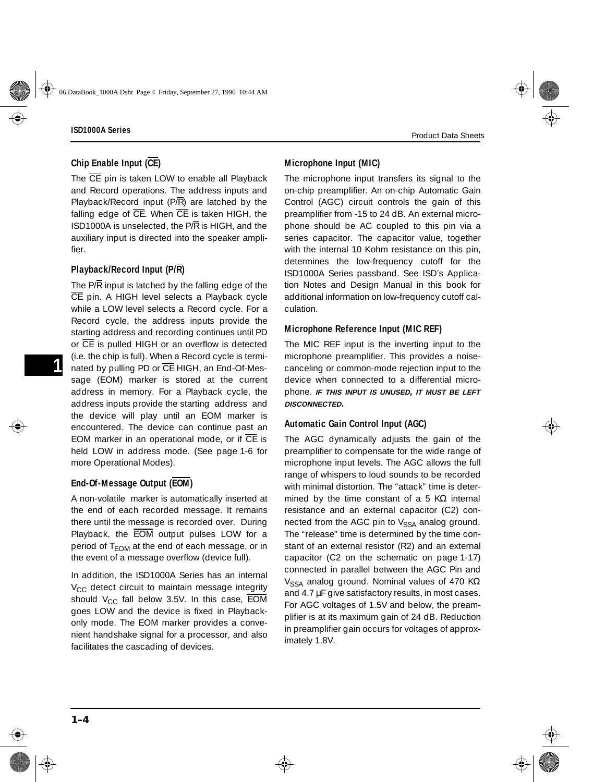### **Chip Enable Input (CE)**

The  $\overline{CE}$  pin is taken LOW to enable all Playback and Record operations. The address inputs and Playback/Record input  $(P/\overline{R})$  are latched by the falling edge of  $\overline{CE}$ . When  $\overline{CE}$  is taken HIGH, the ISD1000A is unselected, the  $P/R$  is HIGH, and the auxiliary input is directed into the speaker amplifier.

### **Playback/Record Input (P/R)**

The  $P/\overline{R}$  input is latched by the falling edge of the CE pin. A HIGH level selects a Playback cycle while a LOW level selects a Record cycle. For a Record cycle, the address inputs provide the starting address and recording continues until PD or CE is pulled HIGH or an overflow is detected (i.e. the chip is full). When a Record cycle is terminated by pulling PD or  $\overline{CE}$  HIGH, an End-Of-Message (EOM) marker is stored at the current address in memory. For a Playback cycle, the address inputs provide the starting address and the device will play until an EOM marker is encountered. The device can continue past an EOM marker in an operational mode, or if  $\overline{CE}$  is held LOW in address mode. (See [page 1-6](#page-5-0) for more Operational Modes).

### **End-Of-Message Output (EOM)**

A non-volatile marker is automatically inserted at the end of each recorded message. It remains there until the message is recorded over. During Playback, the EOM output pulses LOW for a period of  $T_{FOM}$  at the end of each message, or in the event of a message overflow (device full).

In addition, the ISD1000A Series has an internal  $V_{CC}$  detect circuit to maintain message integrity should  $V_{CC}$  fall below 3.5V. In this case,  $\overline{EOM}$ goes LOW and the device is fixed in Playbackonly mode. The EOM marker provides a convenient handshake signal for a processor, and also facilitates the cascading of devices.

#### **Microphone Input (MIC)**

The microphone input transfers its signal to the on-chip preamplifier. An on-chip Automatic Gain Control (AGC) circuit controls the gain of this preamplifier from -15 to 24 dB. An external microphone should be AC coupled to this pin via a series capacitor. The capacitor value, together with the internal 10 Kohm resistance on this pin, determines the low-frequency cutoff for the ISD1000A Series passband. See ISD's Application Notes and Design Manual in this book for additional information on low-frequency cutoff calculation.

#### **Microphone Reference Input (MIC REF)**

The MIC REF input is the inverting input to the microphone preamplifier. This provides a noisecanceling or common-mode rejection input to the device when connected to a differential microphone. **IF THIS INPUT IS UNUSED, IT MUST BE LEFT DISCONNECTED.**

#### **Automatic Gain Control Input (AGC)**

The AGC dynamically adjusts the gain of the preamplifier to compensate for the wide range of microphone input levels. The AGC allows the full range of whispers to loud sounds to be recorded with minimal distortion. The "attack" time is determined by the time constant of a 5 K $\Omega$  internal resistance and an external capacitor (C2) connected from the AGC pin to  $V_{SSA}$  analog ground. The "release" time is determined by the time constant of an external resistor (R2) and an external capacitor (C2 on the schematic on [page 1-17](#page-16-0)) connected in parallel between the AGC Pin and V<sub>SSA</sub> analog ground. Nominal values of 470 K $\Omega$ and 4.7  $\mu$ F give satisfactory results, in most cases. For AGC voltages of 1.5V and below, the preamplifier is at its maximum gain of 24 dB. Reduction in preamplifier gain occurs for voltages of approximately 1.8V.

**-1**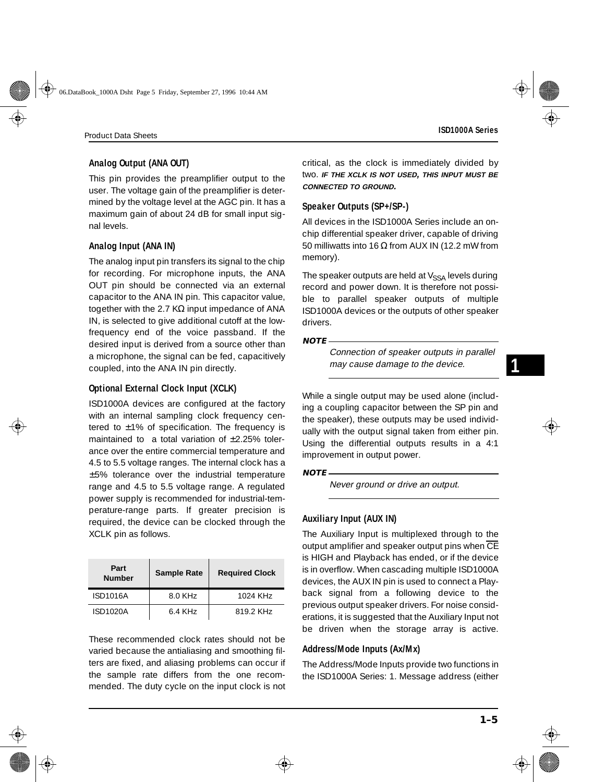#### **Analog Output (ANA OUT)**

This pin provides the preamplifier output to the user. The voltage gain of the preamplifier is determined by the voltage level at the AGC pin. It has a maximum gain of about 24 dB for small input signal levels.

#### **Analog Input (ANA IN)**

The analog input pin transfers its signal to the chip for recording. For microphone inputs, the ANA OUT pin should be connected via an external capacitor to the ANA IN pin. This capacitor value, together with the 2.7 K $\Omega$  input impedance of ANA IN, is selected to give additional cutoff at the lowfrequency end of the voice passband. If the desired input is derived from a source other than a microphone, the signal can be fed, capacitively coupled, into the ANA IN pin directly.

#### **Optional External Clock Input (XCLK)**

ISD1000A devices are configured at the factory with an internal sampling clock frequency centered to ±1% of specification. The frequency is maintained to a total variation of  $\pm$ 2.25% tolerance over the entire commercial temperature and 4.5 to 5.5 voltage ranges. The internal clock has a ±5% tolerance over the industrial temperature range and 4.5 to 5.5 voltage range. A regulated power supply is recommended for industrial-temperature-range parts. If greater precision is required, the device can be clocked through the XCLK pin as follows.

| Part<br><b>Number</b> | <b>Sample Rate</b> | <b>Required Clock</b> |
|-----------------------|--------------------|-----------------------|
| <b>ISD1016A</b>       | 8.0 KHz            | 1024 KH <sub>7</sub>  |
| ISD1020A              | 6.4 KHz            | 819 2 KH <sub>7</sub> |

These recommended clock rates should not be varied because the antialiasing and smoothing filters are fixed, and aliasing problems can occur if the sample rate differs from the one recommended. The duty cycle on the input clock is not

critical, as the clock is immediately divided by two. **IF THE XCLK IS NOT USED, THIS INPUT MUST BE CONNECTED TO GROUND.**

#### **Speaker Outputs (SP+/SP-)**

All devices in the ISD1000A Series include an onchip differential speaker driver, capable of driving 50 milliwatts into 16  $\Omega$  from AUX IN (12.2 mW from memory).

The speaker outputs are held at  $V_{SSA}$  levels during record and power down. It is therefore not possible to parallel speaker outputs of multiple ISD1000A devices or the outputs of other speaker drivers.

#### **NOTE**

Connection of speaker outputs in parallel may cause damage to the device.

While a single output may be used alone (including a coupling capacitor between the SP pin and the speaker), these outputs may be used individually with the output signal taken from either pin. Using the differential outputs results in a 4:1 improvement in output power.

#### **NOTE**

Never ground or drive an output.

#### **Auxiliary Input (AUX IN)**

The Auxiliary Input is multiplexed through to the output amplifier and speaker output pins when  $\overline{\text{CE}}$ is HIGH and Playback has ended, or if the device is in overflow. When cascading multiple ISD1000A devices, the AUX IN pin is used to connect a Playback signal from a following device to the previous output speaker drivers. For noise considerations, it is suggested that the Auxiliary Input not be driven when the storage array is active.

#### **Address/Mode Inputs (Ax/Mx)**

The Address/Mode Inputs provide two functions in the ISD1000A Series: 1. Message address (either

**1**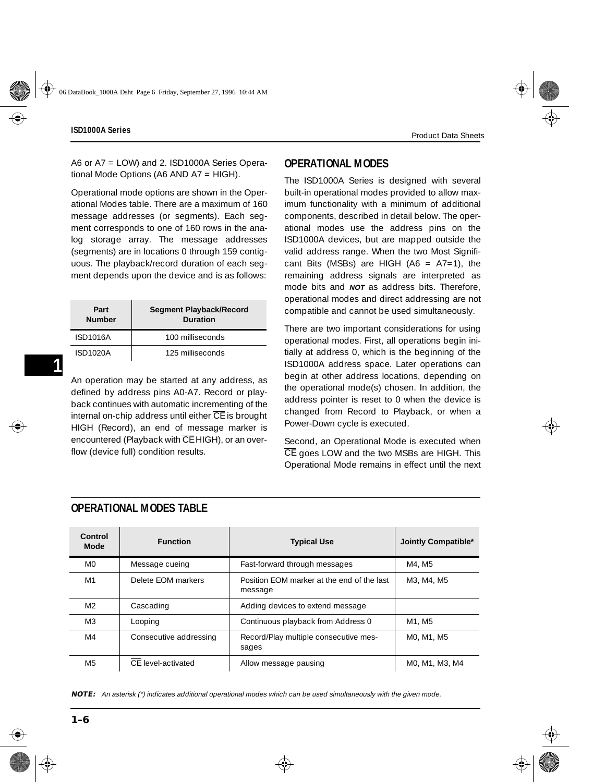<span id="page-5-0"></span>A6 or A7 = LOW) and 2. ISD1000A Series Operational Mode Options (A6 AND A7 = HIGH).

Operational mode options are shown in the Operational Modes table. There are a maximum of 160 message addresses (or segments). Each segment corresponds to one of 160 rows in the analog storage array. The message addresses (segments) are in locations 0 through 159 contiguous. The playback/record duration of each segment depends upon the device and is as follows:

| Part<br><b>Number</b> | <b>Segment Playback/Record</b><br><b>Duration</b> |
|-----------------------|---------------------------------------------------|
| ISD1016A              | 100 milliseconds                                  |
| <b>ISD1020A</b>       | 125 milliseconds                                  |

An operation may be started at any address, as defined by address pins A0-A7. Record or playback continues with automatic incrementing of the internal on-chip address until either  $\overline{CE}$  is brought HIGH (Record), an end of message marker is encountered (Playback with CE HIGH), or an overflow (device full) condition results.

# **OPERATIONAL MODES**

The ISD1000A Series is designed with several built-in operational modes provided to allow maximum functionality with a minimum of additional components, described in detail below. The operational modes use the address pins on the ISD1000A devices, but are mapped outside the valid address range. When the two Most Significant Bits (MSBs) are HIGH (A6 =  $A7=1$ ), the remaining address signals are interpreted as mode bits and **NOT** as address bits. Therefore, operational modes and direct addressing are not compatible and cannot be used simultaneously.

There are two important considerations for using operational modes. First, all operations begin initially at address 0, which is the beginning of the ISD1000A address space. Later operations can begin at other address locations, depending on the operational mode(s) chosen. In addition, the address pointer is reset to 0 when the device is changed from Record to Playback, or when a Power-Down cycle is executed.

Second, an Operational Mode is executed when CE goes LOW and the two MSBs are HIGH. This Operational Mode remains in effect until the next

| Control<br><b>Mode</b> | <b>Function</b>        | <b>Typical Use</b>                                    | Jointly Compatible* |
|------------------------|------------------------|-------------------------------------------------------|---------------------|
| M0                     | Message cueing         | Fast-forward through messages                         | M4, M5              |
| M1                     | Delete FOM markers     | Position FOM marker at the end of the last<br>message | M3, M4, M5          |
| M <sup>2</sup>         | Cascading              | Adding devices to extend message                      |                     |
| M <sub>3</sub>         | Looping                | Continuous playback from Address 0                    | M1. M5              |
| M4                     | Consecutive addressing | Record/Play multiple consecutive mes-<br>sages        | MO. M1. M5          |
| M5                     | CF level-activated     | Allow message pausing                                 | MO. M1. M3. M4      |

### **OPERATIONAL MODES TABLE**

**NOTE:** An asterisk (\*) indicates additional operational modes which can be used simultaneously with the given mode.

**-1**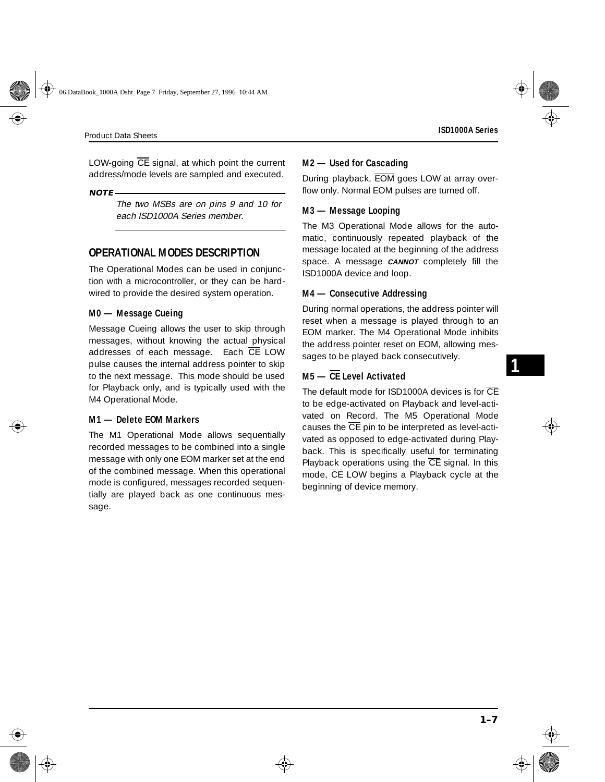**1**

LOW-going  $\overline{CE}$  signal, at which point the current address/mode levels are sampled and executed.

#### **NOTE**

The two MSBs are on pins 9 and 10 for each ISD1000A Series member.

### **OPERATIONAL MODES DESCRIPTION**

The Operational Modes can be used in conjunction with a microcontroller, or they can be hardwired to provide the desired system operation.

#### **M0 — Message Cueing**

Message Cueing allows the user to skip through messages, without knowing the actual physical addresses of each message. Each CE LOW pulse causes the internal address pointer to skip to the next message. This mode should be used for Playback only, and is typically used with the M4 Operational Mode.

#### **M1 — Delete EOM Markers**

The M1 Operational Mode allows sequentially recorded messages to be combined into a single message with only one EOM marker set at the end of the combined message. When this operational mode is configured, messages recorded sequentially are played back as one continuous message.

#### **M2 — Used for Cascading**

During playback, EOM goes LOW at array overflow only. Normal EOM pulses are turned off.

#### **M3 — Message Looping**

The M3 Operational Mode allows for the automatic, continuously repeated playback of the message located at the beginning of the address space. A message **CANNOT** completely fill the ISD1000A device and loop.

#### **M4 — Consecutive Addressing**

During normal operations, the address pointer will reset when a message is played through to an EOM marker. The M4 Operational Mode inhibits the address pointer reset on EOM, allowing messages to be played back consecutively.

### **M5 — CE Level Activated**

The default mode for ISD1000A devices is for  $\overline{\text{CE}}$ to be edge-activated on Playback and level-activated on Record. The M5 Operational Mode causes the  $\overline{\text{CE}}$  pin to be interpreted as level-activated as opposed to edge-activated during Playback. This is specifically useful for terminating Playback operations using the  $\overline{CE}$  signal. In this mode,  $\overline{CE}$  LOW begins a Playback cycle at the beginning of device memory.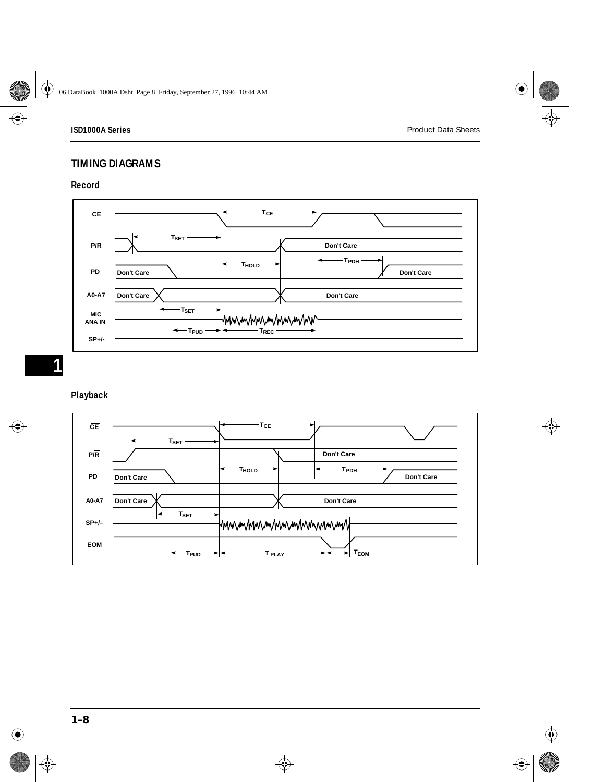# **TIMING DIAGRAMS**

#### **Record**



### **Playback**

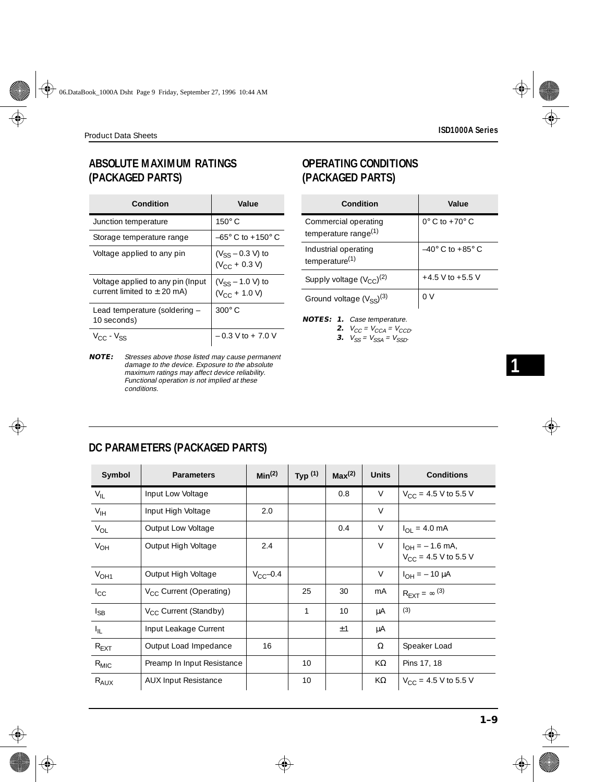# **ABSOLUTE MAXIMUM RATINGS (PACKAGED PARTS)**

| Condition                                                            | Value                                       |
|----------------------------------------------------------------------|---------------------------------------------|
| Junction temperature                                                 | $150^\circ$ C                               |
| Storage temperature range                                            | $-65^{\circ}$ C to $+150^{\circ}$ C         |
| Voltage applied to any pin                                           | $(V_{SS} - 0.3 V)$ to<br>$(V_{CC} + 0.3 V)$ |
| Voltage applied to any pin (Input<br>current limited to $\pm$ 20 mA) | $(V_{SS} - 1.0 V)$ to<br>$(V_{CC} + 1.0 V)$ |
| Lead temperature (soldering -<br>10 seconds)                         | $300^\circ$ C                               |
| $V_{CC}$ - $V_{SS}$                                                  | $-0.3$ V to $+7.0$ V                        |

**NOTE:** Stresses above those listed may cause permanent damage to the device. Exposure to the absolute maximum ratings may affect device reliability. Functional operation is not implied at these conditions.

# **OPERATING CONDITIONS (PACKAGED PARTS)**

| Condition                                                | Value                              |
|----------------------------------------------------------|------------------------------------|
| Commercial operating<br>temperature range <sup>(1)</sup> | $0^\circ$ C to $+70^\circ$ C       |
| Industrial operating<br>temperature <sup>(1)</sup>       | $-40^{\circ}$ C to $+85^{\circ}$ C |
| Supply voltage $(V_{CC})^{(2)}$                          | $+4.5$ V to $+5.5$ V               |
| Ground voltage $(V_{SS})^{(3)}$                          | 0 V                                |

- **NOTES: 1.** Case temperature.
	- **2.**  $V_{CC} = V_{CCA} = V_{CCD}$ .
		- **3.**  $V_{SS} = V_{SSA} = V_{SSD}$ .

| DC PARAMETERS (PACKAGED PARTS) |  |
|--------------------------------|--|
|                                |  |

| Symbol           | <b>Parameters</b>                   | Min <sup>(2)</sup> | Typ $(1)$ | Max <sup>(2)</sup> | <b>Units</b> | <b>Conditions</b>                                |
|------------------|-------------------------------------|--------------------|-----------|--------------------|--------------|--------------------------------------------------|
| $V_{IL}$         | Input Low Voltage                   |                    |           | 0.8                | V            | $V_{CC}$ = 4.5 V to 5.5 V                        |
| $V_{IH}$         | Input High Voltage                  | 2.0                |           |                    | $\vee$       |                                                  |
| $V_{OL}$         | Output Low Voltage                  |                    |           | 0.4                | V            | $I_{\Omega I} = 4.0 \text{ mA}$                  |
| $V_{OH}$         | Output High Voltage                 | 2.4                |           |                    | V            | $I_{OH} = -1.6$ mA,<br>$V_{CC}$ = 4.5 V to 5.5 V |
| V <sub>OH1</sub> | Output High Voltage                 | $V_{\Gamma}$ -0.4  |           |                    | $\vee$       | $I_{OH} = -10 \mu A$                             |
| $I_{\rm CC}$     | V <sub>CC</sub> Current (Operating) |                    | 25        | 30                 | mA           | $R_{\text{EXT}} = \infty^{(3)}$                  |
| $I_{SB}$         | $V_{CC}$ Current (Standby)          |                    | 1         | 10                 | μA           | (3)                                              |
| $I_{\rm IL}$     | Input Leakage Current               |                    |           | ±1                 | μA           |                                                  |
| $R_{EXT}$        | Output Load Impedance               | 16                 |           |                    | Ω            | Speaker Load                                     |
| $R_{MIC}$        | Preamp In Input Resistance          |                    | 10        |                    | $K\Omega$    | Pins 17, 18                                      |
| $R_{AUX}$        | <b>AUX Input Resistance</b>         |                    | 10        |                    | KΩ           | $V_{CC}$ = 4.5 V to 5.5 V                        |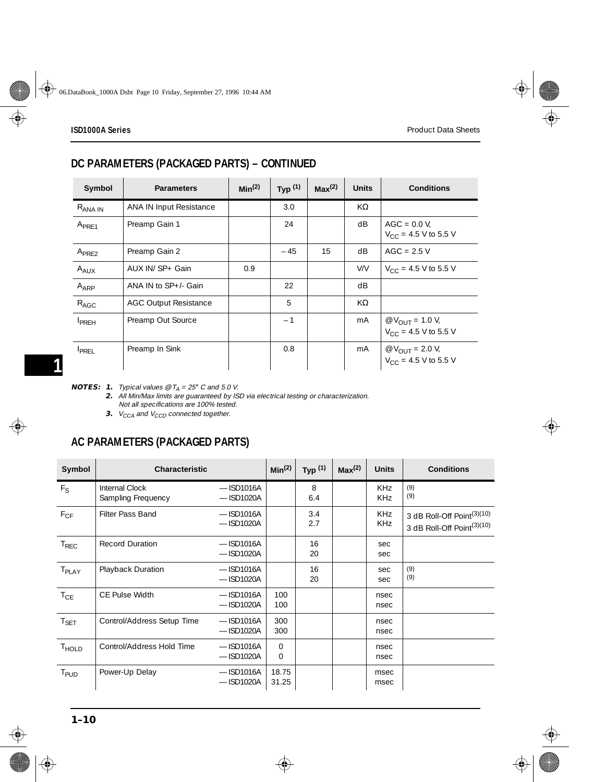# **DC PARAMETERS (PACKAGED PARTS) – CONTINUED**

| Symbol              | <b>Parameters</b>              | Min <sup>(2)</sup> | Typ $(1)$ | Max <sup>(2)</sup> | <b>Units</b> | <b>Conditions</b>                                                    |
|---------------------|--------------------------------|--------------------|-----------|--------------------|--------------|----------------------------------------------------------------------|
| R <sub>ANA IN</sub> | <b>ANA IN Input Resistance</b> |                    | 3.0       |                    | KΩ           |                                                                      |
| $A_{PRF1}$          | Preamp Gain 1                  |                    | 24        |                    | dB           | $AGC = 0.0 V$ ,<br>$V_{CC}$ = 4.5 V to 5.5 V                         |
| A <sub>PRE2</sub>   | Preamp Gain 2                  |                    | - 45      | 15                 | dB           | $AGC = 2.5 V$                                                        |
| $A_{\text{AUX}}$    | AUX IN/ SP+ Gain               | 0.9                |           |                    | V/V          | $V_{\text{CC}} = 4.5 \text{ V}$ to 5.5 V                             |
| A <sub>ARP</sub>    | ANA IN to SP+/- Gain           |                    | 22        |                    | dB           |                                                                      |
| $R_{AGC}$           | <b>AGC Output Resistance</b>   |                    | 5         |                    | $K\Omega$    |                                                                      |
| <b>I</b> PRFH       | Preamp Out Source              |                    | $-1$      |                    | mA           | $\phi$ V <sub>OUT</sub> = 1.0 V,<br>V <sub>CC</sub> = 4.5 V to 5.5 V |
| <b>I</b> PREL       | Preamp In Sink                 |                    | 0.8       |                    | mA           | $\phi$ V <sub>OUT</sub> = 2.0 V,<br>V <sub>CC</sub> = 4.5 V to 5.5 V |

**NOTES: 1.** *Typical values @*  $T_A = 25^{\circ}$  *C* and 5.0 *V*.

**2.** All Min/Max limits are guaranteed by ISD via electrical testing or characterization. Not all specifications are 100% tested.

**3.**  $V_{CCA}$  and  $V_{CCD}$  connected together.

# **AC PARAMETERS (PACKAGED PARTS)**

| Symbol            | <b>Characteristic</b>                |                              | Min <sup>(2)</sup> | Typ $(1)$  | Max <sup>(2)</sup> | <b>Units</b>             | <b>Conditions</b>                                                                |
|-------------------|--------------------------------------|------------------------------|--------------------|------------|--------------------|--------------------------|----------------------------------------------------------------------------------|
| $F_S$             | Internal Clock<br>Sampling Frequency | $-$ ISD1016A<br>$-$ ISD1020A |                    | 8<br>6.4   |                    | <b>KHz</b><br><b>KHz</b> | (9)<br>(9)                                                                       |
| $F_{CF}$          | Filter Pass Band                     | $-$ ISD1016A<br>$-$ ISD1020A |                    | 3.4<br>2.7 |                    | <b>KHz</b><br><b>KHz</b> | 3 dB Roll-Off Point <sup>(3)(10)</sup><br>3 dB Roll-Off Point <sup>(3)(10)</sup> |
| $T_{REC}$         | <b>Record Duration</b>               | $-$ ISD1016A<br>$-$ ISD1020A |                    | 16<br>20   |                    | sec<br>sec               |                                                                                  |
| $T_{\sf PLAY}$    | Playback Duration                    | $-$ ISD1016A<br>$-$ ISD1020A |                    | 16<br>20   |                    | sec<br>sec               | (9)<br>(9)                                                                       |
| $T_{CE}$          | <b>CE Pulse Width</b>                | $-$ ISD1016A<br>$-$ ISD1020A | 100<br>100         |            |                    | nsec<br>nsec             |                                                                                  |
| $T_{\sf SET}$     | Control/Address Setup Time           | $-$ ISD1016A<br>$-$ ISD1020A | 300<br>300         |            |                    | nsec<br>nsec             |                                                                                  |
| T <sub>HOLD</sub> | Control/Address Hold Time            | $-$ ISD1016A<br>$-$ ISD1020A | $\Omega$<br>0      |            |                    | nsec<br>nsec             |                                                                                  |
| T <sub>PUD</sub>  | Power-Up Delay                       | $-$ ISD1016A<br>$-$ ISD1020A | 18.75<br>31.25     |            |                    | msec<br>msec             |                                                                                  |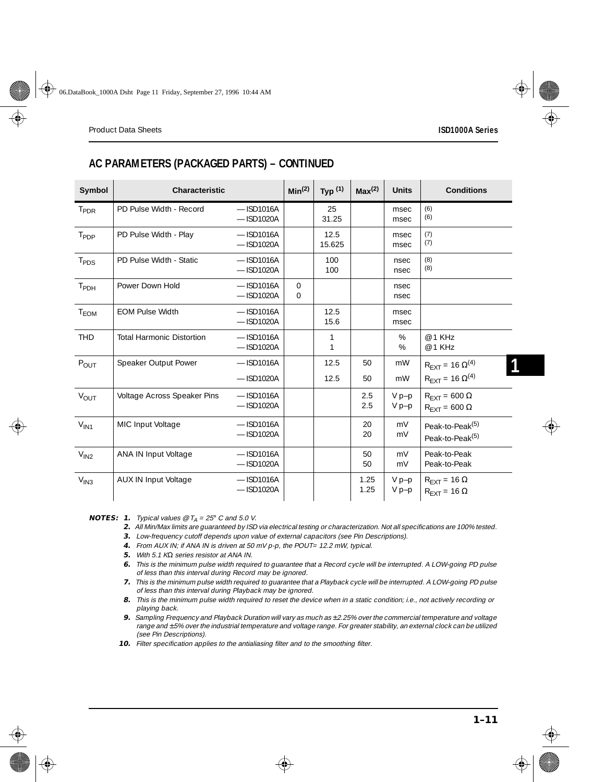# **AC PARAMETERS (PACKAGED PARTS) – CONTINUED**

| Symbol           | <b>Characteristic</b>            |                              | Min <sup>(2)</sup>   | Typ $(1)$      | Max <sup>(2)</sup> | <b>Units</b>       | <b>Conditions</b>                                              |
|------------------|----------------------------------|------------------------------|----------------------|----------------|--------------------|--------------------|----------------------------------------------------------------|
| T <sub>PDR</sub> | PD Pulse Width - Record          | $-$ ISD1016A<br>$-$ ISD1020A |                      | 25<br>31.25    |                    | msec<br>msec       | (6)<br>(6)                                                     |
| T <sub>PDP</sub> | PD Pulse Width - Play            | $-$ ISD1016A<br>$-$ ISD1020A |                      | 12.5<br>15.625 |                    | msec<br>msec       | (7)<br>(7)                                                     |
| T <sub>PDS</sub> | PD Pulse Width - Static          | $-$ ISD1016A<br>$-$ ISD1020A |                      | 100<br>100     |                    | nsec<br>nsec       | (8)<br>(8)                                                     |
| T <sub>PDH</sub> | Power Down Hold                  | $-$ ISD1016A<br>$-$ ISD1020A | $\Omega$<br>$\Omega$ |                |                    | nsec<br>nsec       |                                                                |
| $T_{EOM}$        | <b>EOM Pulse Width</b>           | $-$ ISD1016A<br>$-$ ISD1020A |                      | 12.5<br>15.6   |                    | msec<br>msec       |                                                                |
| <b>THD</b>       | <b>Total Harmonic Distortion</b> | $-$ ISD1016A<br>$-$ ISD1020A |                      | 1<br>1         |                    | %<br>%             | @ 1 KHz<br>@ 1 KHz                                             |
| P <sub>OUT</sub> | Speaker Output Power             | $-$ ISD1016A                 |                      | 12.5           | 50                 | mW                 | $R_{\text{EXT}} = 16 \ \Omega^{(4)}$                           |
|                  |                                  | $-$ ISD1020A                 |                      | 12.5           | 50                 | mW                 | $R_{\text{FXT}} = 16 \Omega^{(4)}$                             |
| $V_{OUT}$        | Voltage Across Speaker Pins      | $-$ ISD1016A<br>$-$ ISD1020A |                      |                | 2.5<br>2.5         | $V p-p$<br>$V p-p$ | $R_{\text{EXT}} = 600 \Omega$<br>$R_{\text{FXT}} = 600 \Omega$ |
| $V_{\text{IN1}}$ | MIC Input Voltage                | $-$ ISD1016A<br>$-$ ISD1020A |                      |                | 20<br>20           | mV<br>mV           | Peak-to-Peak <sup>(5)</sup><br>Peak-to-Peak <sup>(5)</sup>     |
| $V_{IN2}$        | ANA IN Input Voltage             | $-$ ISD1016A<br>$-$ ISD1020A |                      |                | 50<br>50           | mV<br>mV           | Peak-to-Peak<br>Peak-to-Peak                                   |
| V <sub>IN3</sub> | <b>AUX IN Input Voltage</b>      | $-$ ISD1016A<br>$-$ ISD1020A |                      |                | 1.25<br>1.25       | $V p-p$<br>$V p-p$ | $R_{\text{EXT}} = 16 \Omega$<br>$R_{\text{EXT}} = 16 \Omega$   |

**NOTES: 1.** Typical values  $\mathcal{O}$  T<sub>A</sub> = 25° C and 5.0 V.

- **2.** All Min/Max limits are guaranteed by ISD via electrical testing or characterization. Not all specifications are 100% tested.
- **3.** Low-frequency cutoff depends upon value of external capacitors (see Pin Descriptions). **4.** From AUX IN; if ANA IN is driven at 50 mV p-p, the POUT= 12.2 mW, typical.
- **5.** With 5.1 KΩ series resistor at ANA IN.
- **6.** This is the minimum pulse width required to guarantee that a Record cycle will be interrupted. A LOW-going PD pulse of less than this interval during Record may be ignored.
- **7.** This is the minimum pulse width required to guarantee that a Playback cycle will be interrupted. A LOW-going PD pulse of less than this interval during Playback may be ignored.
- **8.** This is the minimum pulse width required to reset the device when in a static condition; i.e., not actively recording or playing back.
- **9.** Sampling Frequency and Playback Duration will vary as much as ±2.25% over the commercial temperature and voltage range and ±5% over the industrial temperature and voltage range. For greater stability, an external clock can be utilized (see Pin Descriptions).
- **10.** Filter specification applies to the antialiasing filter and to the smoothing filter.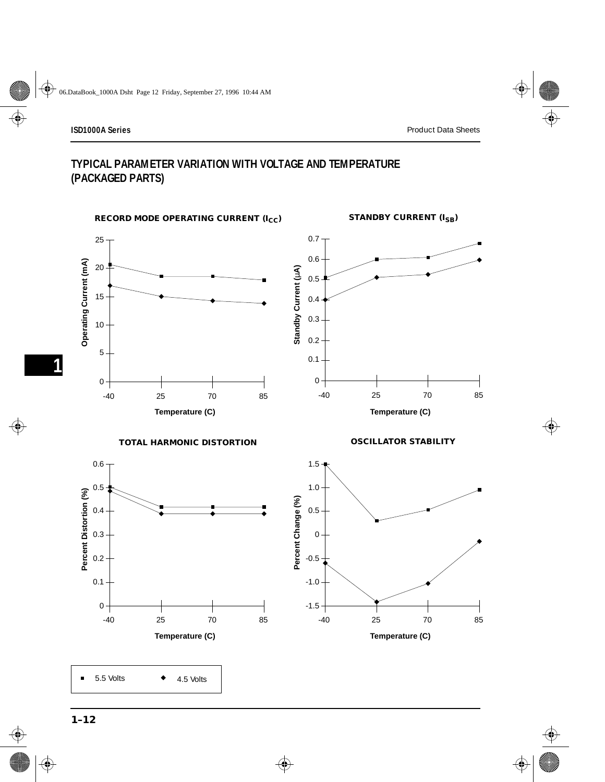# **TYPICAL PARAMETER VARIATION WITH VOLTAGE AND TEMPERATURE (PACKAGED PARTS)**

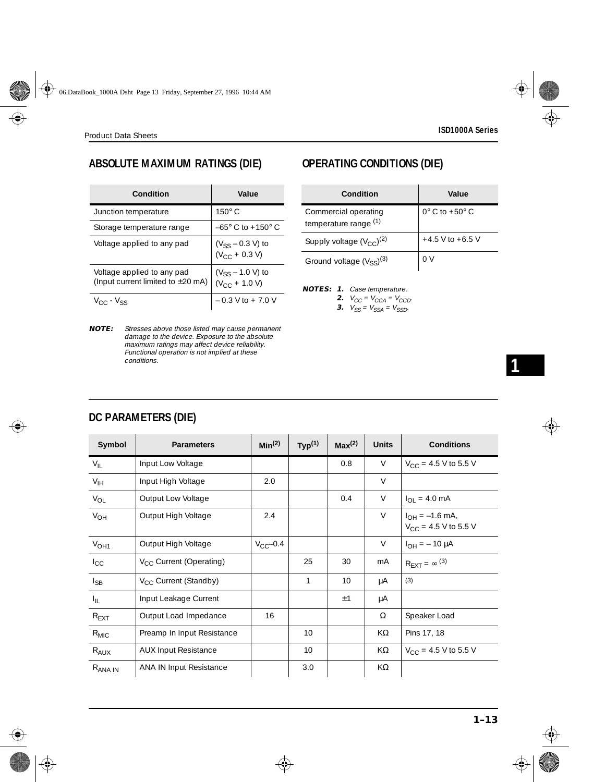# **ABSOLUTE MAXIMUM RATINGS (DIE)**

| Condition                                                            | Value                                       |
|----------------------------------------------------------------------|---------------------------------------------|
| Junction temperature                                                 | $150^{\circ}$ C                             |
| Storage temperature range                                            | $-65^{\circ}$ C to $+150^{\circ}$ C         |
| Voltage applied to any pad                                           | $(V_{SS} - 0.3 V)$ to<br>$(V_{CC} + 0.3 V)$ |
| Voltage applied to any pad<br>(Input current limited to $\pm 20$ mA) | $(V_{SS} - 1.0 V)$ to<br>$(V_{CC} + 1.0 V)$ |
| $V_{\cap}$ - $V_{\subset S}$                                         | $-0.3$ V to $+7.0$ V                        |

**NOTE:** Stresses above those listed may cause permanent damage to the device. Exposure to the absolute maximum ratings may affect device reliability. Functional operation is not implied at these conditions.

# **OPERATING CONDITIONS (DIE)**

| Condition                                     | Value                        |
|-----------------------------------------------|------------------------------|
| Commercial operating<br>temperature range (1) | $0^\circ$ C to $+50^\circ$ C |
| Supply voltage $(V_{CC})^{(2)}$               | $+4.5$ V to $+6.5$ V         |
| Ground voltage $(V_{SS})^{(3)}$               | 0 V                          |

**NOTES: 1.** Case temperature.

**2.**  $V_{CC} = V_{CCA} = V_{CCD}$ .

**3.**  $V_{SS} = V_{SSA} = V_{SSD}$ .

# **1**

# **DC PARAMETERS (DIE)**

| Symbol           | <b>Parameters</b>                 | Min <sup>(2)</sup> | Typ <sup>(1)</sup> | Max <sup>(2)</sup> | <b>Units</b> | <b>Conditions</b>                                |
|------------------|-----------------------------------|--------------------|--------------------|--------------------|--------------|--------------------------------------------------|
| $V_{IL}$         | Input Low Voltage                 |                    |                    | 0.8                | V            | $V_{\text{CC}} = 4.5 \text{ V}$ to 5.5 V         |
| $V_{\text{IH}}$  | Input High Voltage                | 2.0                |                    |                    | $\vee$       |                                                  |
| $V_{OL}$         | Output Low Voltage                |                    |                    | 0.4                | V            | $I_{\text{OI}} = 4.0 \text{ mA}$                 |
| $V_{OH}$         | Output High Voltage               | 2.4                |                    |                    | V            | $I_{OH} = -1.6$ mA,<br>$V_{CC}$ = 4.5 V to 5.5 V |
| V <sub>OH1</sub> | Output High Voltage               | $V_{CC}$ -0.4      |                    |                    | $\vee$       | $I_{OH} = -10 \mu A$                             |
| $I_{\rm CC}$     | $V_{CC}$ Current (Operating)      |                    | 25                 | 30                 | mA           | $R_{\text{FXT}} = \infty$ (3)                    |
| $I_{SB}$         | V <sub>CC</sub> Current (Standby) |                    | 1                  | 10                 | μA           | (3)                                              |
| $I_{\rm IL}$     | Input Leakage Current             |                    |                    | ±1                 | μA           |                                                  |
| $R_{\text{EXT}}$ | Output Load Impedance             | 16                 |                    |                    | Ω            | Speaker Load                                     |
| $R_{MIC}$        | Preamp In Input Resistance        |                    | 10                 |                    | KΩ           | Pins 17, 18                                      |
| $R_{AUX}$        | <b>AUX Input Resistance</b>       |                    | 10                 |                    | KΩ           | $V_{CC}$ = 4.5 V to 5.5 V                        |
| $R_{ANA IN}$     | <b>ANA IN Input Resistance</b>    |                    | 3.0                |                    | KΩ           |                                                  |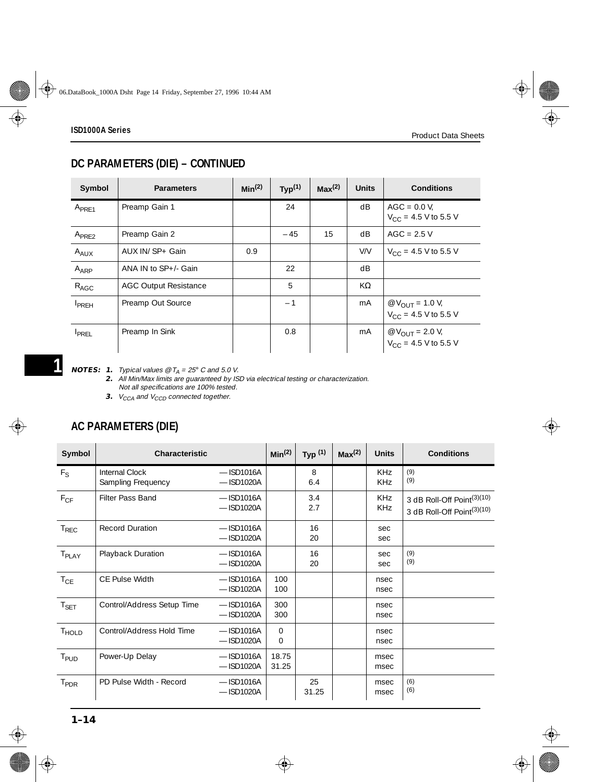# **DC PARAMETERS (DIE) – CONTINUED**

| Symbol            | <b>Parameters</b>            | Min <sup>(2)</sup> | Typ <sup>(1)</sup> | Max <sup>(2)</sup> | <b>Units</b> | <b>Conditions</b>                                            |
|-------------------|------------------------------|--------------------|--------------------|--------------------|--------------|--------------------------------------------------------------|
| A <sub>PRE1</sub> | Preamp Gain 1                |                    | 24                 |                    | dB           | $AGC = 0.0 V$ ,<br>$V_{CC}$ = 4.5 V to 5.5 V                 |
| $A_{PRF2}$        | Preamp Gain 2                |                    | $-45$              | 15                 | dB           | $AGC = 2.5 V$                                                |
| $A_{AUX}$         | AUX IN/ SP+ Gain             | 0.9                |                    |                    | V/V          | $V_{CC}$ = 4.5 V to 5.5 V                                    |
| A <sub>ARP</sub>  | ANA IN to SP+/- Gain         |                    | 22                 |                    | dB           |                                                              |
| $R_{AGC}$         | <b>AGC Output Resistance</b> |                    | 5                  |                    | KΩ           |                                                              |
| <b>I</b> PREH     | Preamp Out Source            |                    | $-1$               |                    | mA           | @ $V_{\text{OIII}} = 1.0 V_{t}$<br>$V_{CC}$ = 4.5 V to 5.5 V |
| <b>IPREL</b>      | Preamp In Sink               |                    | 0.8                |                    | mA           | @ $V_{\text{OIII}} = 2.0 V_{t}$<br>$V_{CC}$ = 4.5 V to 5.5 V |

**NOTES: 1.** Typical values @  $T_A = 25^\circ$  C and 5.0 V.

**2.** All Min/Max limits are guaranteed by ISD via electrical testing or characterization. Not all specifications are 100% tested.

**3.**  $V_{CCA}$  and  $V_{CCD}$  connected together.

# **AC PARAMETERS (DIE)**

| Symbol            | <b>Characteristic</b>                |                              | Min <sup>(2)</sup> | Typ <sup>(1)</sup> | Max <sup>(2)</sup> | <b>Units</b>                  | <b>Conditions</b>                                                                |
|-------------------|--------------------------------------|------------------------------|--------------------|--------------------|--------------------|-------------------------------|----------------------------------------------------------------------------------|
| $F_S$             | Internal Clock<br>Sampling Frequency | $-$ ISD1016A<br>$-$ ISD1020A |                    | 8<br>6.4           |                    | KH <sub>7</sub><br><b>KHz</b> | (9)<br>(9)                                                                       |
| $F_{CF}$          | Filter Pass Band                     | $-$ ISD1016A<br>$-$ ISD1020A |                    | 3.4<br>2.7         |                    | KHz<br><b>KHz</b>             | 3 dB Roll-Off Point <sup>(3)(10)</sup><br>3 dB Roll-Off Point <sup>(3)(10)</sup> |
| $T_{REC}$         | <b>Record Duration</b>               | $-$ ISD1016A<br>$-$ ISD1020A |                    | 16<br>20           |                    | sec<br>sec                    |                                                                                  |
| T <sub>PLAY</sub> | Playback Duration                    | $-$ ISD1016A<br>$-$ ISD1020A |                    | 16<br>20           |                    | sec<br>sec                    | (9)<br>(9)                                                                       |
| $T_{CE}$          | CF Pulse Width                       | $-$ ISD1016A<br>$-$ ISD1020A | 100<br>100         |                    |                    | nsec<br>nsec                  |                                                                                  |
| $T_{\sf SET}$     | Control/Address Setup Time           | $-$ ISD1016A<br>$-$ ISD1020A | 300<br>300         |                    |                    | nsec<br>nsec                  |                                                                                  |
| T <sub>HOLD</sub> | Control/Address Hold Time            | $-$ ISD1016A<br>$-$ ISD1020A | 0<br>$\mathbf{0}$  |                    |                    | nsec<br>nsec                  |                                                                                  |
| T <sub>PUD</sub>  | Power-Up Delay                       | $-$ ISD1016A<br>$-$ ISD1020A | 18.75<br>31.25     |                    |                    | msec<br>msec                  |                                                                                  |
| T <sub>PDR</sub>  | PD Pulse Width - Record              | $-$ ISD1016A<br>$-$ ISD1020A |                    | 25<br>31.25        |                    | msec<br>msec                  | (6)<br>(6)                                                                       |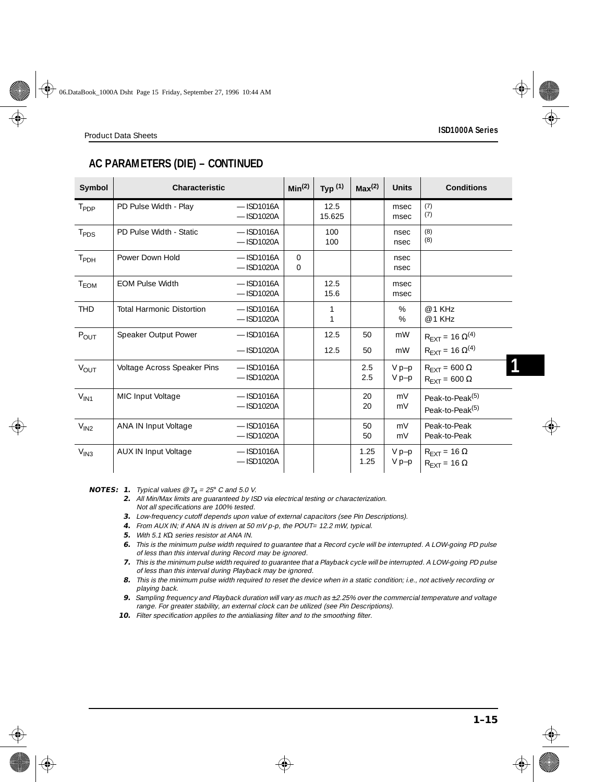# **AC PARAMETERS (DIE) – CONTINUED**

| Symbol             | <b>Characteristic</b>            |                              | Min <sup>(2)</sup>      | Typ $(1)$         | Max <sup>(2)</sup> | <b>Units</b>       | <b>Conditions</b>                                                        |
|--------------------|----------------------------------|------------------------------|-------------------------|-------------------|--------------------|--------------------|--------------------------------------------------------------------------|
| $T_{\mathsf{PDP}}$ | PD Pulse Width - Play            | $-$ ISD1016A<br>$-$ ISD1020A |                         | 12.5<br>15.625    |                    | msec<br>msec       | (7)<br>(7)                                                               |
| $T_{PDS}$          | PD Pulse Width - Static          | $-$ ISD1016A<br>$-$ ISD1020A |                         | 100<br>100        |                    | nsec<br>nsec       | (8)<br>(8)                                                               |
| T <sub>PDH</sub>   | Power Down Hold                  | $-$ ISD1016A<br>$-$ ISD1020A | $\Omega$<br>$\mathbf 0$ |                   |                    | nsec<br>nsec       |                                                                          |
| T <sub>EOM</sub>   | <b>EOM Pulse Width</b>           | $-$ ISD1016A<br>$-$ ISD1020A |                         | 12.5<br>15.6      |                    | msec<br>msec       |                                                                          |
| <b>THD</b>         | <b>Total Harmonic Distortion</b> | $-$ ISD1016A<br>$-$ ISD1020A |                         | $\mathbf{1}$<br>1 |                    | %<br>$\%$          | @ 1 KHz<br>@ 1 KHz                                                       |
| POUT               | Speaker Output Power             | $-$ ISD1016A<br>$-$ ISD1020A |                         | 12.5<br>12.5      | 50<br>50           | mW<br>mW           | $R_{\text{EXT}} = 16 \Omega^{(4)}$<br>$R_{\text{EXT}} = 16 \Omega^{(4)}$ |
| $V_{OUT}$          | Voltage Across Speaker Pins      | $-$ ISD1016A<br>$-$ ISD1020A |                         |                   | 2.5<br>2.5         | $V p-p$<br>$V p-p$ | $R_{\text{FXT}} = 600 \Omega$<br>$R_{\text{EXT}} = 600 \Omega$           |
| $V_{IN1}$          | MIC Input Voltage                | $-$ ISD1016A<br>$-$ ISD1020A |                         |                   | 20<br>20           | mV<br>mV           | Peak-to-Peak <sup>(5)</sup><br>Peak-to-Peak <sup>(5)</sup>               |
| $V_{IN2}$          | ANA IN Input Voltage             | $-$ ISD1016A<br>$-$ ISD1020A |                         |                   | 50<br>50           | mV<br>mV           | Peak-to-Peak<br>Peak-to-Peak                                             |
| V <sub>IN3</sub>   | AUX IN Input Voltage             | $-$ ISD1016A<br>$-$ ISD1020A |                         |                   | 1.25<br>1.25       | $V p-p$<br>$V p-p$ | $R_{\text{EXT}} = 16 \Omega$<br>$R_{\text{EXT}} = 16 \Omega$             |

**NOTES: 1.** Typical values  $\mathcal{O}$  T<sub>A</sub> = 25° C and 5.0 V.

- **2.** All Min/Max limits are guaranteed by ISD via electrical testing or characterization. Not all specifications are 100% tested.
- **3.** Low-frequency cutoff depends upon value of external capacitors (see Pin Descriptions).
- **4.** From AUX IN; if ANA IN is driven at 50 mV p-p, the POUT= 12.2 mW, typical.
- **5.** With 5.1 KΩ series resistor at ANA IN.
- **6.** This is the minimum pulse width required to guarantee that a Record cycle will be interrupted. A LOW-going PD pulse of less than this interval during Record may be ignored.
- **7.** This is the minimum pulse width required to guarantee that a Playback cycle will be interrupted. A LOW-going PD pulse of less than this interval during Playback may be ignored.
- **8.** This is the minimum pulse width required to reset the device when in a static condition; i.e., not actively recording or playing back.
- **9.** Sampling frequency and Playback duration will vary as much as ±2.25% over the commercial temperature and voltage range. For greater stability, an external clock can be utilized (see Pin Descriptions).
- **10.** Filter specification applies to the antialiasing filter and to the smoothing filter.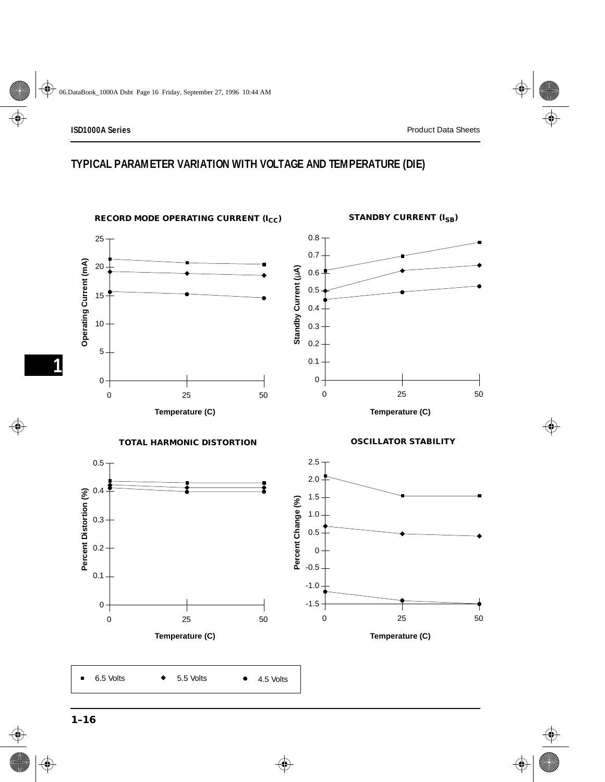### **TYPICAL PARAMETER VARIATION WITH VOLTAGE AND TEMPERATURE (DIE)**

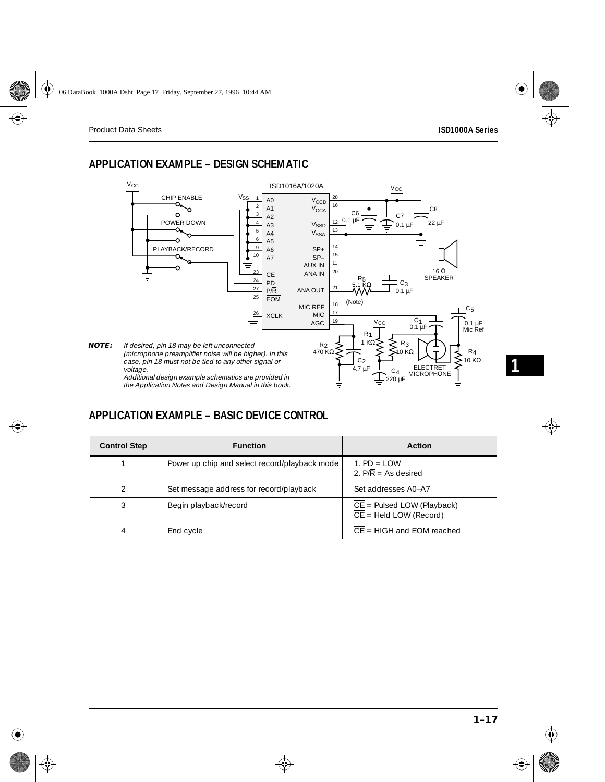# <span id="page-16-0"></span>**APPLICATION EXAMPLE – DESIGN SCHEMATIC**



# **APPLICATION EXAMPLE – BASIC DEVICE CONTROL**

| <b>Control Step</b> | <b>Function</b>                               | <b>Action</b>                                                                  |
|---------------------|-----------------------------------------------|--------------------------------------------------------------------------------|
|                     | Power up chip and select record/playback mode | 1. $PD = I$ OW<br>2. $P/\overline{R}$ = As desired                             |
|                     | Set message address for record/playback       | Set addresses A0-A7                                                            |
| 3                   | Begin playback/record                         | $\overline{CE}$ = Pulsed LOW (Playback)<br>$\overline{CE}$ = Held LOW (Record) |
| 4                   | End cycle                                     | $\overline{CE}$ = HIGH and EOM reached                                         |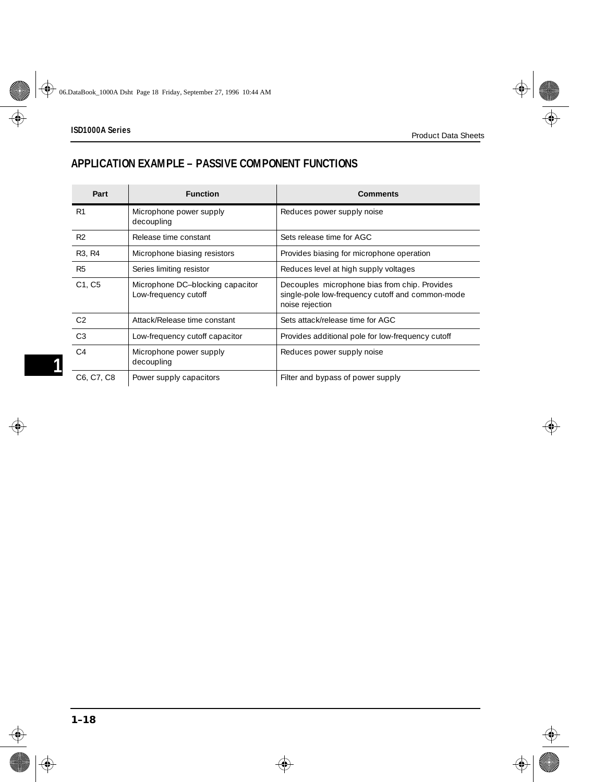# **APPLICATION EXAMPLE – PASSIVE COMPONENT FUNCTIONS**

| Part                            | <b>Function</b>                                          | Comments                                                                                                             |
|---------------------------------|----------------------------------------------------------|----------------------------------------------------------------------------------------------------------------------|
| R1                              | Microphone power supply<br>decoupling                    | Reduces power supply noise                                                                                           |
| R <sub>2</sub>                  | Release time constant                                    | Sets release time for AGC                                                                                            |
| R <sub>3</sub> , R <sub>4</sub> | Microphone biasing resistors                             | Provides biasing for microphone operation                                                                            |
| R <sub>5</sub>                  | Series limiting resistor                                 | Reduces level at high supply voltages                                                                                |
| C <sub>1</sub> , C <sub>5</sub> | Microphone DC-blocking capacitor<br>Low-frequency cutoff | Decouples microphone bias from chip. Provides<br>single-pole low-frequency cutoff and common-mode<br>noise rejection |
| C <sub>2</sub>                  | Attack/Release time constant                             | Sets attack/release time for AGC                                                                                     |
| C <sub>3</sub>                  | Low-frequency cutoff capacitor                           | Provides additional pole for low-frequency cutoff                                                                    |
| C <sub>4</sub>                  | Microphone power supply<br>decoupling                    | Reduces power supply noise                                                                                           |
| C6, C7, C8                      | Power supply capacitors                                  | Filter and bypass of power supply                                                                                    |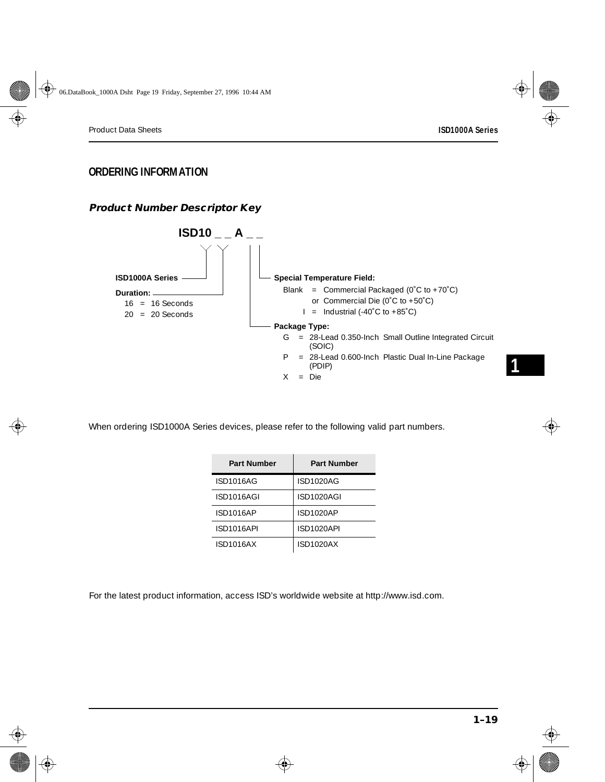### **ORDERING INFORMATION**

#### **Product Number Descriptor Key**



When ordering ISD1000A Series devices, please refer to the following valid part numbers.

| <b>Part Number</b> | <b>Part Number</b> |
|--------------------|--------------------|
| ISD1016AG          | ISD1020AG          |
| ISD1016AGI         | ISD1020AGI         |
| ISD1016AP          | ISD1020AP          |
| ISD1016API         | ISD1020API         |
| ISD1016AX          | <b>ISD1020AX</b>   |

For the latest product information, access ISD's worldwide website at http://www.isd.com.